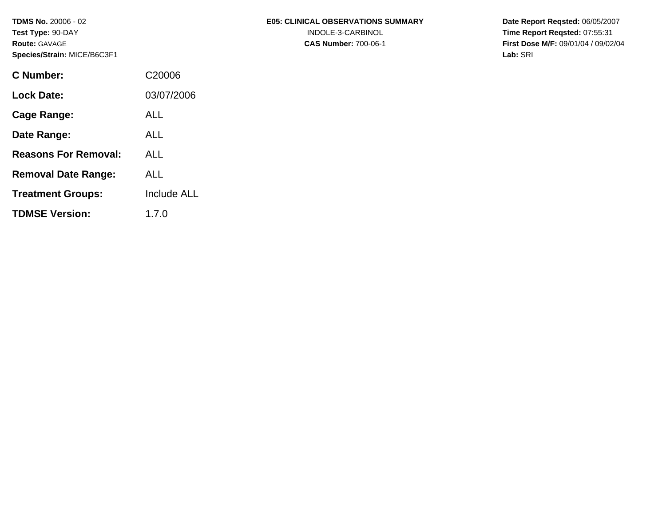**TDMS No.** 20006 - 02 **Test Type:** 90-DAY **Route:** GAVAGE **Species/Strain:** MICE/B6C3F1

| C Number:                   | C <sub>20006</sub> |
|-----------------------------|--------------------|
| Lock Date:                  | 03/07/2006         |
| Cage Range:                 | ALL                |
| Date Range:                 | AI L               |
| <b>Reasons For Removal:</b> | ALL.               |
| <b>Removal Date Range:</b>  | AI L               |
| <b>Treatment Groups:</b>    | <b>Include ALL</b> |
| <b>TDMSE Version:</b>       | 1.7. $0$           |

**Date Report Reqsted:** 06/05/2007 **Time Report Reqsted:** 07:55:31 **First Dose M/F:** 09/01/04 / 09/02/04 **Lab:** SRI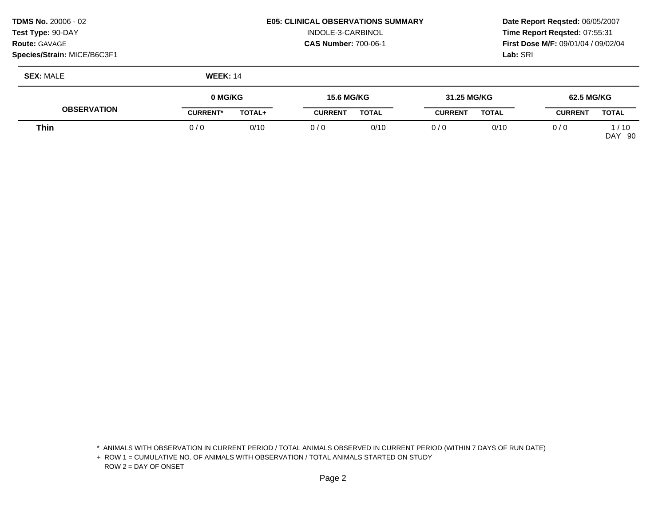| <b>TDMS No. 20006 - 02</b>         | <b>E05: CLINICAL OBSERVATIONS SUMMARY</b> | <b>Date Rep</b>  |
|------------------------------------|-------------------------------------------|------------------|
| <b>Test Type: 90-DAY</b>           | INDOLE-3-CARBINOL                         | Time Rep         |
| <b>Route: GAVAGE</b>               | <b>CAS Number: 700-06-1</b>               | <b>First Dos</b> |
| <b>Species/Strain: MICE/B6C3F1</b> |                                           | <b>Lab:</b> SRI  |

## **E05: CLINICAL OBSERVATIONS SUMMARY Date Report Reqsted: 06/05/2007** INDOLE-3-CARBINOL **Time Report Reqsted:** 07:55:31

**Route:** GAVAGE **CAS Number:** 700-06-1 **First Dose M/F:** 09/01/04 / 09/02/04

**SEX:** MALE **WEEK:** 14

|                    | 0 MG/KG         |               | 15.6 MG/KG     |              | 31.25 MG/KG    |              | 62.5 MG/KG     |                          |
|--------------------|-----------------|---------------|----------------|--------------|----------------|--------------|----------------|--------------------------|
| <b>OBSERVATION</b> | <b>CURRENT*</b> | <b>TOTAL+</b> | <b>CURRENT</b> | <b>TOTAL</b> | <b>CURRENT</b> | <b>TOTAL</b> | <b>CURRENT</b> | <b>TOTAL</b>             |
| Thin               | 0/0             | 0/10          | 0/0            | 0/10         | 0 / C          | 0/10         | 0 / C          | /10<br><b>DAY</b><br>-90 |

\* ANIMALS WITH OBSERVATION IN CURRENT PERIOD / TOTAL ANIMALS OBSERVED IN CURRENT PERIOD (WITHIN 7 DAYS OF RUN DATE)

+ ROW 1 = CUMULATIVE NO. OF ANIMALS WITH OBSERVATION / TOTAL ANIMALS STARTED ON STUDY ROW 2 = DAY OF ONSET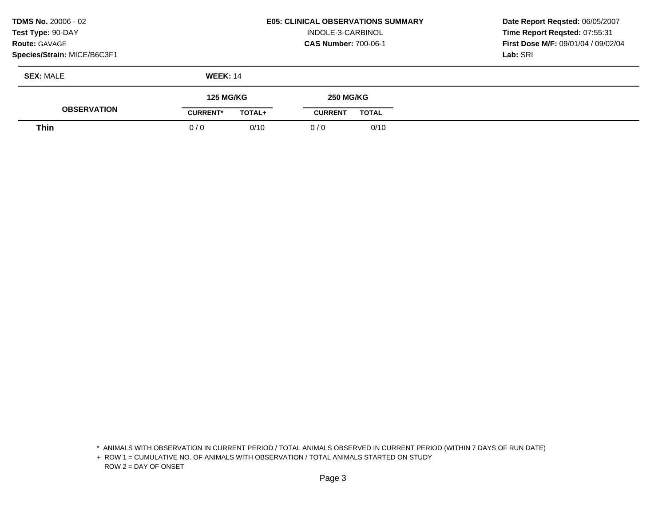| <b>TDMS No. 20006 - 02</b>  |
|-----------------------------|
| Test Type: 90-DAY           |
| <b>Route: GAVAGE</b>        |
| Species/Strain: MICE/B6C3F1 |

## **E05: CLINICAL OBSERVATIONS SUMMARY**  INDOLE-3-CARBINOL **CAS Number:** 700-06-1

**Date Report Reqsted:** 06/05/2007 **Time Report Reqsted:** 07:55:31 **First Dose M/F:** 09/01/04 / 09/02/04 **Lab:** SRI

| <b>SEX: MALE</b>   | <b>WEEK: 14</b>  |                  |
|--------------------|------------------|------------------|
| <b>ABOFBUATION</b> | <b>125 MG/KG</b> | <b>250 MG/KG</b> |

| ◥<br>'ION | <b>CURRENT</b> | <b>TOTAL</b>           | <b>CURRENT</b> | <b>TOTAL</b> |  |
|-----------|----------------|------------------------|----------------|--------------|--|
| Thin      |                | $\cdot$<br>U/10<br>- - |                | 0/10         |  |

\* ANIMALS WITH OBSERVATION IN CURRENT PERIOD / TOTAL ANIMALS OBSERVED IN CURRENT PERIOD (WITHIN 7 DAYS OF RUN DATE)

+ ROW 1 = CUMULATIVE NO. OF ANIMALS WITH OBSERVATION / TOTAL ANIMALS STARTED ON STUDY ROW 2 = DAY OF ONSET